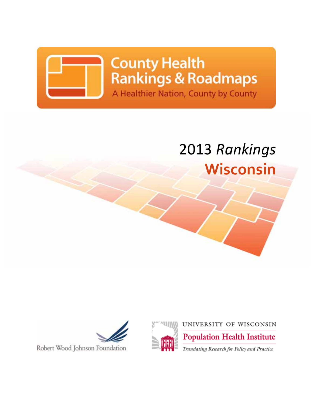

**County Health Rankings & Roadmaps** A Healthier Nation, County by County

# 2013 *Rankings* **Wisconsin**





Robert Wood Johnson Foundation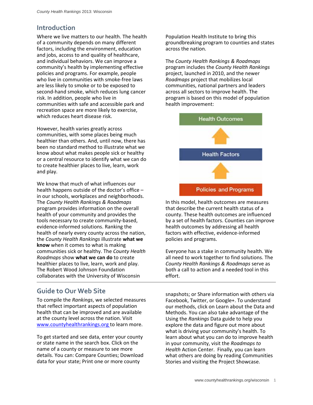### **Introduction**

Where we live matters to our health. The health of a community depends on many different factors, including the environment, education and jobs, access to and quality of healthcare, and individual behaviors. We can improve a community's health by implementing effective policies and programs. For example, people who live in communities with smoke-free laws are less likely to smoke or to be exposed to second‐hand smoke, which reduces lung cancer risk. In addition, people who live in communities with safe and accessible park and recreation space are more likely to exercise, which reduces heart disease risk.

However, health varies greatly across communities, with some places being much healthier than others. And, until now, there has been no standard method to illustrate what we know about what makes people sick or healthy or a central resource to identify what we can do to create healthier places to live, learn, work and play.

We know that much of what influences our health happens outside of the doctor's office – in our schools, workplaces and neighborhoods. The *County Health Rankings & Roadmaps* program provides information on the overall health of your community and provides the tools necessary to create community‐based, evidence‐informed solutions. Ranking the health of nearly every county across the nation, the *County Health Rankings* illustrate **what we know** when it comes to what is making communities sick or healthy. The *County Health Roadmaps* show **what we can do** to create healthier places to live, learn, work and play. The Robert Wood Johnson Foundation collaborates with the University of Wisconsin

### **Guide to Our Web Site**

To compile the *Rankings*, we selected measures that reflect important aspects of population health that can be improved and are available at the county level across the nation. Visit www.countyhealthrankings.org to learn more.

To get started and see data, enter your county or state name in the search box. Click on the name of a county or measure to see more details. You can: Compare Counties; Download data for your state; Print one or more county

Population Health Institute to bring this groundbreaking program to counties and states across the nation.

The *County Health Rankings & Roadmaps* program includes the *County Health Rankings* project, launched in 2010, and the newer *Roadmaps* project that mobilizes local communities, national partners and leaders across all sectors to improve health. The program is based on this model of population health improvement:



In this model, health outcomes are measures that describe the current health status of a county. These health outcomes are influenced by a set of health factors. Counties can improve health outcomes by addressing all health factors with effective, evidence‐informed policies and programs.

Everyone has a stake in community health. We all need to work together to find solutions. The *County Health Rankings & Roadmaps* serve as both a call to action and a needed tool in this effort.

snapshots; or Share information with others via Facebook, Twitter, or Google+. To understand our methods, click on Learn about the Data and Methods. You can also take advantage of the Using the *Rankings* Data guide to help you explore the data and figure out more about what is driving your community's health. To learn about what you can do to improve health in your community, visit the *Roadmaps to Health* Action Center. Finally, you can learn what others are doing by reading Communities Stories and visiting the Project Showcase.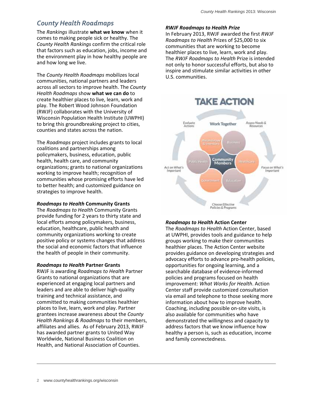# *County Health Roadmaps*

The *Rankings* illustrate **what we know** when it comes to making people sick or healthy. The *County Health Rankings* confirm the critical role that factors such as education, jobs, income and the environment play in how healthy people are and how long we live.

The *County Health Roadmaps* mobilizes local communities, national partners and leaders across all sectors to improve health. The *County Health Roadmaps* show **what we can do** to create healthier places to live, learn, work and play. The Robert Wood Johnson Foundation (RWJF) collaborates with the University of Wisconsin Population Health Institute (UWPHI) to bring this groundbreaking project to cities, counties and states across the nation.

The *Roadmaps* project includes grants to local coalitions and partnerships among policymakers, business, education, public health, health care, and community organizations; grants to national organizations working to improve health; recognition of communities whose promising efforts have led to better health; and customized guidance on strategies to improve health.

### *Roadmaps to Health* **Community Grants**

The *Roadmaps to Health* Community Grants provide funding for 2 years to thirty state and local efforts among policymakers, business, education, healthcare, public health and community organizations working to create positive policy or systems changes that address the social and economic factors that influence the health of people in their community.

### *Roadmaps to Health* **Partner Grants**

RWJF is awarding *Roadmaps to Health* Partner Grants to national organizations that are experienced at engaging local partners and leaders and are able to deliver high‐quality training and technical assistance, and committed to making communities healthier places to live, learn, work and play. Partner grantees increase awareness about the *County Health Rankings & Roadmaps* to their members, affiliates and allies. As of February 2013, RWJF has awarded partner grants to United Way Worldwide, National Business Coalition on Health, and National Association of Counties.

### *RWJF Roadmaps to Health Prize*

In February 2013, RWJF awarded the first *RWJF Roadmaps to Health* Prizes of \$25,000 to six communities that are working to become healthier places to live, learn, work and play. The *RWJF Roadmaps to Health* Prize is intended not only to honor successful efforts, but also to inspire and stimulate similar activities in other U.S. communities.



### *Roadmaps to Health* **Action Center**

The *Roadmaps to Health* Action Center, based at UWPHI, provides tools and guidance to help groups working to make their communities healthier places. The Action Center website provides guidance on developing strategies and advocacy efforts to advance pro‐health policies, opportunities for ongoing learning, and a searchable database of evidence‐informed policies and programs focused on health improvement: *What Works for Health*. Action Center staff provide customized consultation via email and telephone to those seeking more information about how to improve health. Coaching, including possible on‐site visits, is also available for communities who have demonstrated the willingness and capacity to address factors that we know influence how healthy a person is, such as education, income and family connectedness.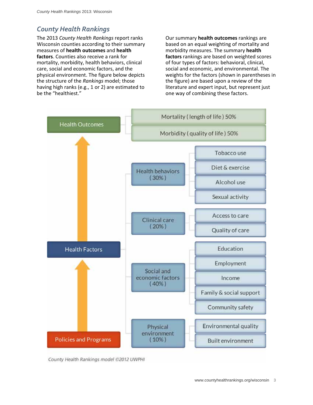## *County Health Rankings*

The 2013 *County Health Rankings* report ranks Wisconsin counties according to their summary measures of **health outcomes** and **health factors**. Counties also receive a rank for mortality, morbidity, health behaviors, clinical care, social and economic factors, and the physical environment. The figure below depicts the structure of the *Rankings* model; those having high ranks (e.g., 1 or 2) are estimated to be the "healthiest."

Our summary **health outcomes** rankings are based on an equal weighting of mortality and morbidity measures. The summary **health factors** rankings are based on weighted scores of four types of factors: behavioral, clinical, social and economic, and environmental. The weights for the factors (shown in parentheses in the figure) are based upon a review of the literature and expert input, but represent just one way of combining these factors.



County Health Rankings model @2012 UWPHI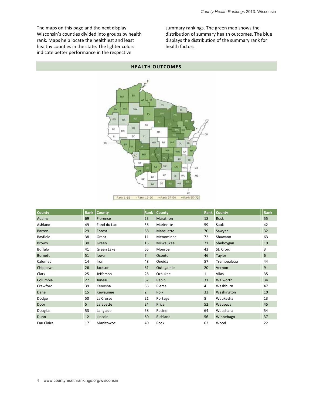The maps on this page and the next display Wisconsin's counties divided into groups by health rank. Maps help locate the healthiest and least healthy counties in the state. The lighter colors indicate better performance in the respective

summary rankings. The green map shows the distribution of summary health outcomes. The blue displays the distribution of the summary rank for health factors.



| <b>County</b>  | Rank | <b>County</b> | Rank           | <b>County</b> | Rank | County      | <b>Rank</b> |
|----------------|------|---------------|----------------|---------------|------|-------------|-------------|
| Adams          | 69   | Florence      | 23             | Marathon      | 18   | Rusk        | 55          |
| Ashland        | 49   | Fond du Lac   | 36             | Marinette     | 59   | Sauk        | 42          |
| Barron         | 29   | Forest        | 68             | Marquette     | 70   | Sawyer      | 32          |
| Bayfield       | 38   | Grant         | 11             | Menominee     | 72   | Shawano     | 63          |
| <b>Brown</b>   | 30   | Green         | 16             | Milwaukee     | 71   | Sheboygan   | 19          |
| <b>Buffalo</b> | 41   | Green Lake    | 65             | Monroe        | 43   | St. Croix   | 3           |
| <b>Burnett</b> | 51   | lowa          | $\overline{7}$ | Oconto        | 46   | Taylor      | 6           |
| Calumet        | 14   | Iron          | 48             | Oneida        | 57   | Trempealeau | 44          |
| Chippewa       | 26   | Jackson       | 61             | Outagamie     | 20   | Vernon      | 9           |
| Clark          | 25   | Jefferson     | 28             | Ozaukee       | 1    | Vilas       | 35          |
| Columbia       | 27   | Juneau        | 67             | Pepin         | 31   | Walworth    | 34          |
| Crawford       | 39   | Kenosha       | 66             | Pierce        | 4    | Washburn    | 47          |
| Dane           | 15   | Kewaunee      | $\overline{2}$ | Polk          | 33   | Washington  | 10          |
| Dodge          | 50   | La Crosse     | 21             | Portage       | 8    | Waukesha    | 13          |
| Door           | 5    | Lafayette     | 24             | Price         | 52   | Waupaca     | 45          |
| Douglas        | 53   | Langlade      | 58             | Racine        | 64   | Waushara    | 54          |
| Dunn           | 12   | Lincoln       | 60             | Richland      | 56   | Winnebago   | 37          |
| Eau Claire     | 17   | Manitowoc     | 40             | Rock          | 62   | Wood        | 22          |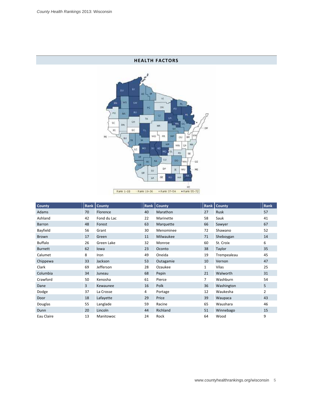### **HEALTH FACTORS**



| County         | Rank | County      | Rank | <b>County</b> | Rank | County      | Rank |
|----------------|------|-------------|------|---------------|------|-------------|------|
| Adams          | 70   | Florence    | 40   | Marathon      | 27   | Rusk        | 57   |
| Ashland        | 42   | Fond du Lac | 22   | Marinette     | 58   | Sauk        | 41   |
| Barron         | 48   | Forest      | 63   | Marquette     | 66   | Sawyer      | 67   |
| Bayfield       | 56   | Grant       | 30   | Menominee     | 72   | Shawano     | 52   |
| Brown          | 17   | Green       | 11   | Milwaukee     | 71   | Sheboygan   | 14   |
| <b>Buffalo</b> | 26   | Green Lake  | 32   | Monroe        | 60   | St. Croix   | 6    |
| <b>Burnett</b> | 62   | lowa        | 23   | Oconto        | 38   | Taylor      | 35   |
| Calumet        | 8    | Iron        | 49   | Oneida        | 19   | Trempealeau | 45   |
| Chippewa       | 33   | Jackson     | 53   | Outagamie     | 10   | Vernon      | 47   |
| Clark          | 69   | Jefferson   | 28   | Ozaukee       | 1    | Vilas       | 25   |
| Columbia       | 34   | Juneau      | 68   | Pepin         | 21   | Walworth    | 31   |
| Crawford       | 50   | Kenosha     | 61   | Pierce        | 7    | Washburn    | 54   |
| Dane           | 3    | Kewaunee    | 16   | Polk          | 36   | Washington  | 5    |
| Dodge          | 37   | La Crosse   | 4    | Portage       | 12   | Waukesha    | 2    |
| Door           | 18   | Lafayette   | 29   | Price         | 39   | Waupaca     | 43   |
| Douglas        | 55   | Langlade    | 59   | Racine        | 65   | Waushara    | 46   |
| Dunn           | 20   | Lincoln     | 44   | Richland      | 51   | Winnebago   | 15   |
| Eau Claire     | 13   | Manitowoc   | 24   | Rock          | 64   | Wood        | 9    |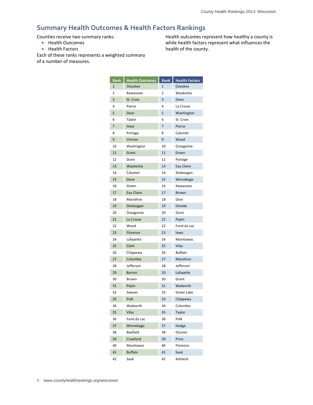### **Summary Health Outcomes & Health Factors Rankings**

Counties receive two summary ranks:

- Health Outcomes
- **•** Health Factors

Each of these ranks represents a weighted summary of a number of measures.

Health outcomes represent how healthy a county is while health factors represent what influences the health of the county.

| <b>Rank</b> | <b>Health Outcomes</b> | Rank | <b>Health Factors</b> |
|-------------|------------------------|------|-----------------------|
| 1           | Ozaukee                | 1    | Ozaukee               |
| 2           | Kewaunee               | 2    | Waukesha              |
| 3           | St. Croix              | 3    | Dane                  |
| 4           | Pierce                 | 4    | La Crosse             |
| 5           | Door                   | 5    | Washington            |
| 6           | Taylor                 | 6    | St. Croix             |
| 7           | lowa                   | 7    | Pierce                |
| 8           | Portage                | 8    | Calumet               |
| 9           | Vernon                 | 9    | Wood                  |
| 10          | Washington             | 10   | Outagamie             |
| 11          | Grant                  | 11   | Green                 |
| 12          | Dunn                   | 12   | Portage               |
| 13          | Waukesha               | 13   | Eau Claire            |
| 14          | Calumet                | 14   | Sheboygan             |
| 15          | Dane                   | 15   | Winnebago             |
| 16          | Green                  | 16   | Kewaunee              |
| 17          | Eau Claire             | 17   | <b>Brown</b>          |
| 18          | Marathon               | 18   | Door                  |
| 19          | Sheboygan              | 19   | Oneida                |
| 20          | Outagamie              | 20   | Dunn                  |
| 21          | La Crosse              | 21   | Pepin                 |
| 22          | Wood                   | 22   | Fond du Lac           |
| 23          | Florence               | 23   | lowa                  |
| 24          | Lafayette              | 24   | Manitowoc             |
| 25          | Clark                  | 25   | <b>Vilas</b>          |
| 26          | Chippewa               | 26   | <b>Buffalo</b>        |
| 27          | Columbia               | 27   | Marathon              |
| 28          | Jefferson              | 28   | Jefferson             |
| 29          | <b>Barron</b>          | 29   | Lafayette             |
| 30          | Brown                  | 30   | Grant                 |
| 31          | Pepin                  | 31   | Walworth              |
| 32          | Sawyer                 | 32   | Green Lake            |
| 33          | Polk                   | 33   | Chippewa              |
| 34          | Walworth               | 34   | Columbia              |
| 35          | <b>Vilas</b>           | 35   | Taylor                |
| 36          | Fond du Lac            | 36   | Polk                  |
| 37          | Winnebago              | 37   | Dodge                 |
| 38          | Bayfield               | 38   | Oconto                |
| 39          | Crawford               | 39   | Price                 |
| 40          | Manitowoc              | 40   | Florence              |
| 41          | Buffalo                | 41   | Sauk                  |
| 42          | Sauk                   | 42   | Ashland               |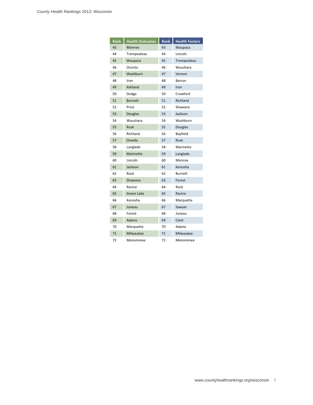| Rank | <b>Health Outcomes</b> | Rank | <b>Health Factors</b> |
|------|------------------------|------|-----------------------|
| 43   | Monroe                 | 43   | Waupaca               |
| 44   | Trempealeau            | 44   | Lincoln               |
| 45   | Waupaca                | 45   | Trempealeau           |
| 46   | Oconto                 | 46   | Waushara              |
| 47   | Washburn               | 47   | Vernon                |
| 48   | Iron                   | 48   | Barron                |
| 49   | Ashland                | 49   | Iron                  |
| 50   | Dodge                  | 50   | Crawford              |
| 51   | <b>Burnett</b>         | 51   | Richland              |
| 52   | Price                  | 52   | Shawano               |
| 53   | <b>Douglas</b>         | 53   | Jackson               |
| 54   | Waushara               | 54   | Washburn              |
| 55   | Rusk                   | 55   | Douglas               |
| 56   | Richland               | 56   | Bayfield              |
| 57   | Oneida                 | 57   | <b>Rusk</b>           |
| 58   | Langlade               | 58   | Marinette             |
| 59   | Marinette              | 59   | Langlade              |
| 60   | Lincoln                | 60   | Monroe                |
| 61   | Jackson                | 61   | Kenosha               |
| 62   | Rock                   | 62   | <b>Burnett</b>        |
| 63   | Shawano                | 63   | Forest                |
| 64   | Racine                 | 64   | Rock                  |
| 65   | <b>Green Lake</b>      | 65   | Racine                |
| 66   | Kenosha                | 66   | Marquette             |
| 67   | Juneau                 | 67   | Sawyer                |
| 68   | Forest                 | 68   | Juneau                |
| 69   | Adams                  | 69   | Clark                 |
| 70   | Marquette              | 70   | Adams                 |
| 71   | Milwaukee              | 71   | Milwaukee             |
| 72   | Menominee              | 72   | Menominee             |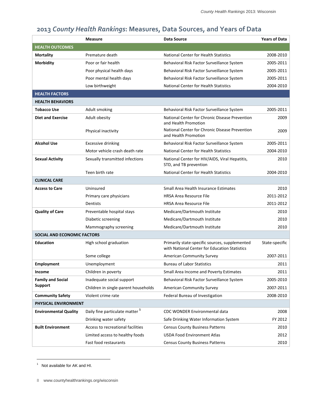|                              | <b>Measure</b>                             | Data Source                                                                                     | <b>Years of Data</b> |
|------------------------------|--------------------------------------------|-------------------------------------------------------------------------------------------------|----------------------|
| <b>HEALTH OUTCOMES</b>       |                                            |                                                                                                 |                      |
| <b>Mortality</b>             | Premature death                            | <b>National Center for Health Statistics</b>                                                    | 2008-2010            |
| Morbidity                    | Poor or fair health                        | Behavioral Risk Factor Surveillance System                                                      | 2005-2011            |
|                              | Poor physical health days                  | Behavioral Risk Factor Surveillance System                                                      | 2005-2011            |
|                              | Poor mental health days                    | Behavioral Risk Factor Surveillance System                                                      | 2005-2011            |
|                              | Low birthweight                            | <b>National Center for Health Statistics</b>                                                    | 2004-2010            |
| <b>HEALTH FACTORS</b>        |                                            |                                                                                                 |                      |
| <b>HEALTH BEHAVIORS</b>      |                                            |                                                                                                 |                      |
| <b>Tobacco Use</b>           | Adult smoking                              | Behavioral Risk Factor Surveillance System                                                      | 2005-2011            |
| <b>Diet and Exercise</b>     | Adult obesity                              | National Center for Chronic Disease Prevention<br>and Health Promotion                          | 2009                 |
|                              | Physical inactivity                        | National Center for Chronic Disease Prevention<br>and Health Promotion                          | 2009                 |
| <b>Alcohol Use</b>           | <b>Excessive drinking</b>                  | Behavioral Risk Factor Surveillance System                                                      | 2005-2011            |
|                              | Motor vehicle crash death rate             | <b>National Center for Health Statistics</b>                                                    | 2004-2010            |
| <b>Sexual Activity</b>       | Sexually transmitted infections            | National Center for HIV/AIDS, Viral Hepatitis,<br>STD, and TB prevention                        | 2010                 |
|                              | Teen birth rate                            | <b>National Center for Health Statistics</b>                                                    | 2004-2010            |
| <b>CLINICAL CARE</b>         |                                            |                                                                                                 |                      |
| <b>Access to Care</b>        | Uninsured                                  | Small Area Health Insurance Estimates                                                           | 2010                 |
|                              | Primary care physicians                    | <b>HRSA Area Resource File</b>                                                                  | 2011-2012            |
|                              | Dentists                                   | <b>HRSA Area Resource File</b>                                                                  | 2011-2012            |
| <b>Quality of Care</b>       | Preventable hospital stays                 | Medicare/Dartmouth Institute                                                                    | 2010                 |
|                              | Diabetic screening                         | Medicare/Dartmouth Institute                                                                    | 2010                 |
|                              | Mammography screening                      | Medicare/Dartmouth Institute                                                                    | 2010                 |
| SOCIAL AND ECONOMIC FACTORS  |                                            |                                                                                                 |                      |
| <b>Education</b>             | High school graduation                     | Primarily state-specific sources, supplemented<br>with National Center for Education Statistics | State-specific       |
|                              | Some college                               | <b>American Community Survey</b>                                                                | 2007-2011            |
| <b>Employment</b>            | Unemployment                               | <b>Bureau of Labor Statistics</b>                                                               | 2011                 |
| Income                       | Children in poverty                        | Small Area Income and Poverty Estimates                                                         | 2011                 |
| <b>Family and Social</b>     | Inadequate social support                  | Behavioral Risk Factor Surveillance System                                                      | 2005-2010            |
| <b>Support</b>               | Children in single-parent households       | <b>American Community Survey</b>                                                                | 2007-2011            |
| <b>Community Safety</b>      | Violent crime rate                         | Federal Bureau of Investigation                                                                 | 2008-2010            |
| PHYSICAL ENVIRONMENT         |                                            |                                                                                                 |                      |
| <b>Environmental Quality</b> | Daily fine particulate matter <sup>1</sup> | CDC WONDER Environmental data                                                                   | 2008                 |
|                              | Drinking water safety                      | Safe Drinking Water Information System                                                          | FY 2012              |
| <b>Built Environment</b>     | Access to recreational facilities          | <b>Census County Business Patterns</b>                                                          | 2010                 |
|                              | Limited access to healthy foods            | <b>USDA Food Environment Atlas</b>                                                              | 2012                 |
|                              | Fast food restaurants                      | <b>Census County Business Patterns</b>                                                          | 2010                 |

# **2013** *County Health Rankings***: Measures, Data Sources, and Years of Data**

 $\overline{a}$ 

<sup>&</sup>lt;sup>1</sup> Not available for AK and HI.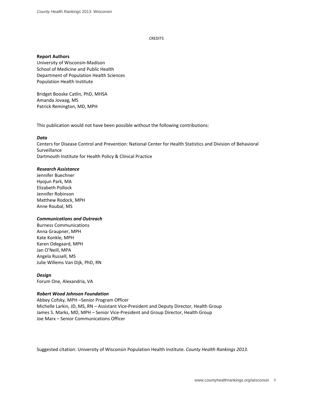#### **CREDITS**

#### **Report Authors**

University of Wisconsin‐Madison School of Medicine and Public Health Department of Population Health Sciences Population Health Institute

Bridget Booske Catlin, PhD, MHSA Amanda Jovaag, MS Patrick Remington, MD, MPH

This publication would not have been possible without the following contributions:

#### *Data*

Centers for Disease Control and Prevention: National Center for Health Statistics and Division of Behavioral Surveillance Dartmouth Institute for Health Policy & Clinical Practice

#### *Research Assistance*

Jennifer Buechner Hyojun Park, MA Elizabeth Pollock Jennifer Robinson Matthew Rodock, MPH Anne Roubal, MS

#### *Communications and Outreach*

Burness Communications Anna Graupner, MPH Kate Konkle, MPH Karen Odegaard, MPH Jan O'Neill, MPA Angela Russell, MS Julie Willems Van Dijk, PhD, RN

#### *Design*

Forum One, Alexandria, VA

#### *Robert Wood Johnson Foundation*

Abbey Cofsky, MPH –Senior Program Officer Michelle Larkin, JD, MS, RN – Assistant Vice‐President and Deputy Director, Health Group James S. Marks, MD, MPH – Senior Vice‐President and Group Director, Health Group Joe Marx – Senior Communications Officer

Suggested citation: University of Wisconsin Population Health Institute. *County Health Rankings 2013.*